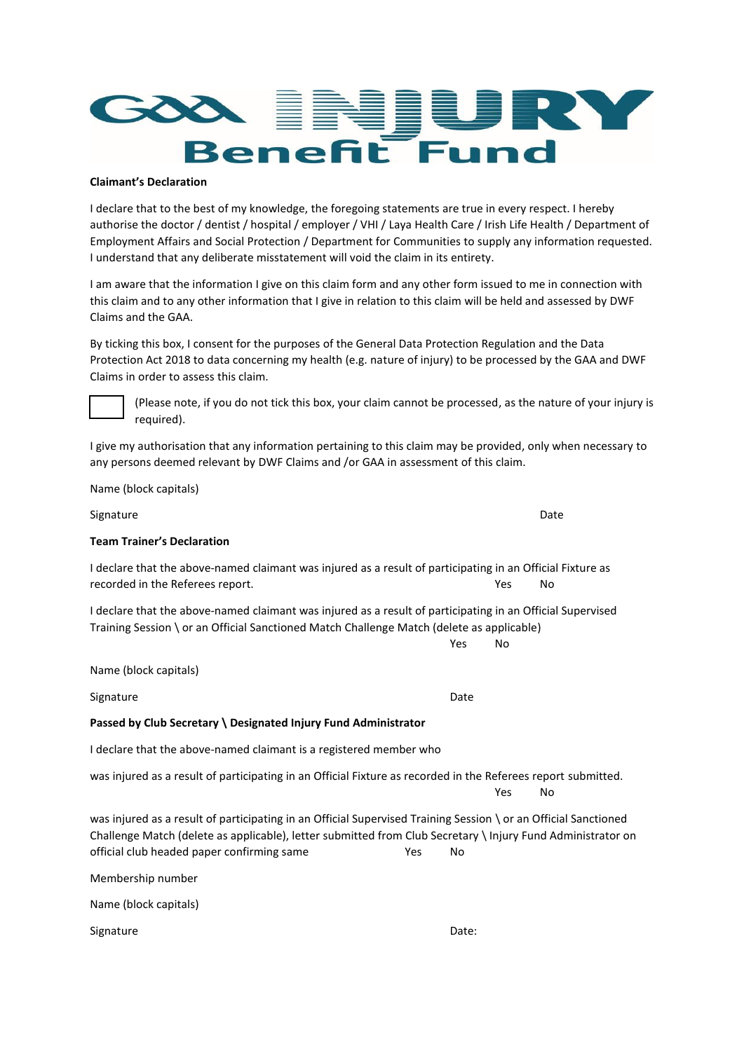

#### **Claimant's Declaration**

I declare that to the best of my knowledge, the foregoing statements are true in every respect. I hereby authorise the doctor / dentist / hospital / employer / VHI / Laya Health Care / Irish Life Health / Department of Employment Affairs and Social Protection / Department for Communities to supply any information requested. I understand that any deliberate misstatement will void the claim in its entirety.

I am aware that the information I give on this claim form and any other form issued to me in connection with this claim and to any other information that I give in relation to this claim will be held and assessed by DWF Claims and the GAA.

By ticking this box, I consent for the purposes of the General Data Protection Regulation and the Data Protection Act 2018 to data concerning my health (e.g. nature of injury) to be processed by the GAA and DWF Claims in order to assess this claim.

(Please note, if you do not tick this box, your claim cannot be processed, as the nature of your injury is required).

I give my authorisation that any information pertaining to this claim may be provided, only when necessary to any persons deemed relevant by DWF Claims and /or GAA in assessment of this claim.

Name (block capitals)

Signature Date Date of the Date of the Date of the Date of the Date of the Date of the Date of the Date of the **Team Trainer's Declaration** I declare that the above-named claimant was injured as a result of participating in an Official Fixture as recorded in the Referees report. The set of the Second Second Second Second Second Second Second Second Second Second Second Second Second Second Second Second Second Second Second Second Second Second Second Second Second I declare that the above-named claimant was injured as a result of participating in an Official Supervised Training Session \ or an Official Sanctioned Match Challenge Match (delete as applicable) Yes No Name (block capitals) Signature Date **Passed by Club Secretary \ Designated Injury Fund Administrator** I declare that the above-named claimant is a registered member who was injured as a result of participating in an Official Fixture as recorded in the Referees report submitted. Yes No was injured as a result of participating in an Official Supervised Training Session \ or an Official Sanctioned Challenge Match (delete as applicable), letter submitted from Club Secretary \ Injury Fund Administrator on official club headed paper confirming same Yes No

Membership number Name (block capitals)

Signature Date: